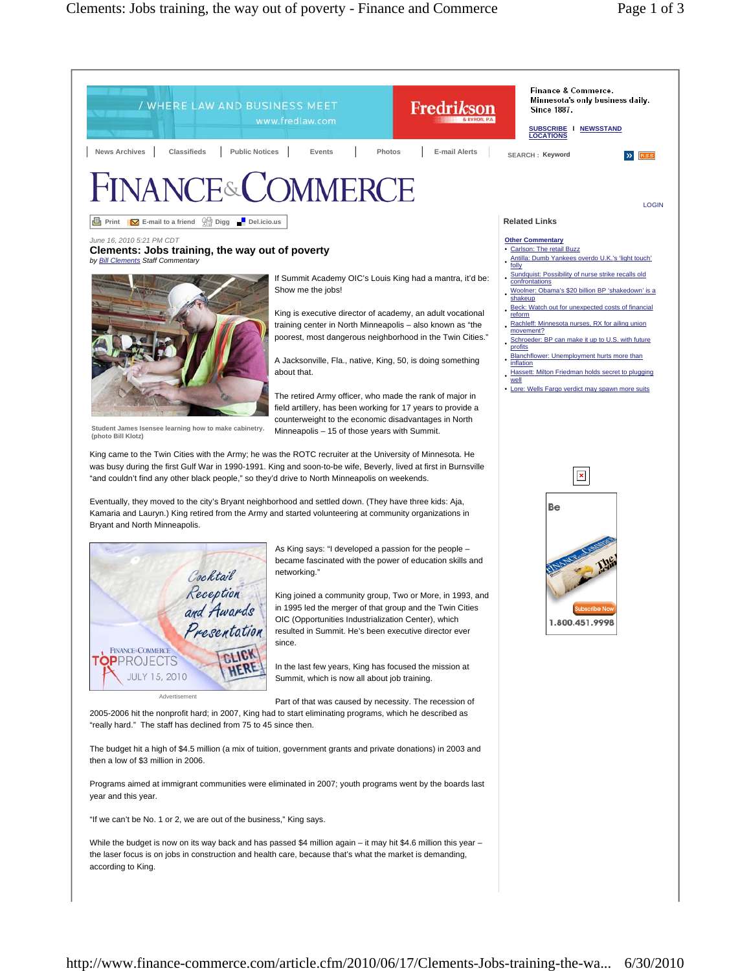